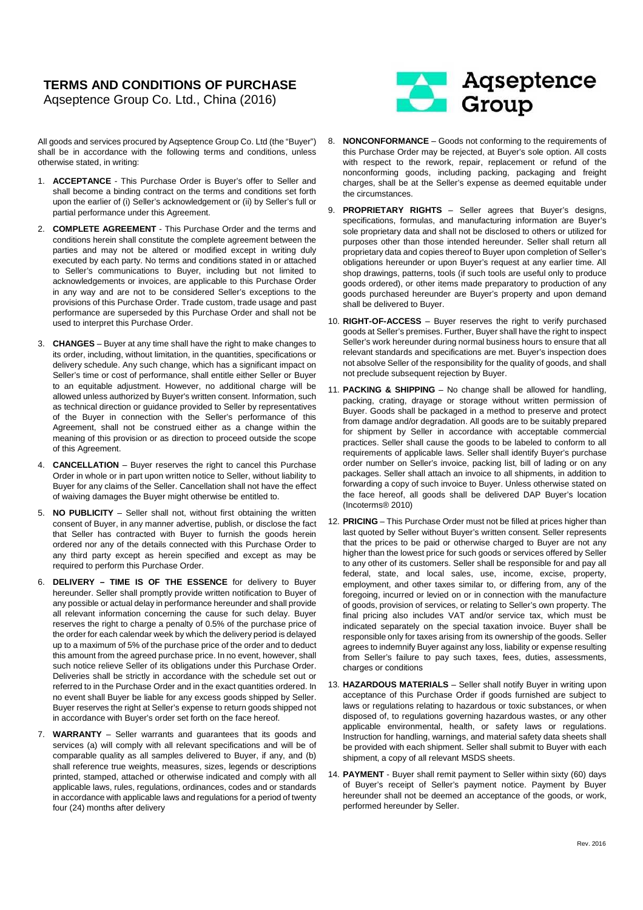## **TERMS AND CONDITIONS OF PURCHASE**  Aqseptence Group Co. Ltd., China (2016)

All goods and services procured by Aqseptence Group Co. Ltd (the "Buyer") shall be in accordance with the following terms and conditions, unless otherwise stated, in writing:

- 1. **ACCEPTANCE** This Purchase Order is Buyer's offer to Seller and shall become a binding contract on the terms and conditions set forth upon the earlier of (i) Seller's acknowledgement or (ii) by Seller's full or partial performance under this Agreement.
- 2. **COMPLETE AGREEMENT** This Purchase Order and the terms and conditions herein shall constitute the complete agreement between the parties and may not be altered or modified except in writing duly executed by each party. No terms and conditions stated in or attached to Seller's communications to Buyer, including but not limited to acknowledgements or invoices, are applicable to this Purchase Order in any way and are not to be considered Seller's exceptions to the provisions of this Purchase Order. Trade custom, trade usage and past performance are superseded by this Purchase Order and shall not be used to interpret this Purchase Order.
- 3. **CHANGES** Buyer at any time shall have the right to make changes to its order, including, without limitation, in the quantities, specifications or delivery schedule. Any such change, which has a significant impact on Seller's time or cost of performance, shall entitle either Seller or Buyer to an equitable adjustment. However, no additional charge will be allowed unless authorized by Buyer's written consent. Information, such as technical direction or guidance provided to Seller by representatives of the Buyer in connection with the Seller's performance of this Agreement, shall not be construed either as a change within the meaning of this provision or as direction to proceed outside the scope of this Agreement.
- 4. **CANCELLATION** Buyer reserves the right to cancel this Purchase Order in whole or in part upon written notice to Seller, without liability to Buyer for any claims of the Seller. Cancellation shall not have the effect of waiving damages the Buyer might otherwise be entitled to.
- 5. **NO PUBLICITY** Seller shall not, without first obtaining the written consent of Buyer, in any manner advertise, publish, or disclose the fact that Seller has contracted with Buyer to furnish the goods herein ordered nor any of the details connected with this Purchase Order to any third party except as herein specified and except as may be required to perform this Purchase Order.
- 6. **DELIVERY TIME IS OF THE ESSENCE** for delivery to Buyer hereunder. Seller shall promptly provide written notification to Buyer of any possible or actual delay in performance hereunder and shall provide all relevant information concerning the cause for such delay. Buyer reserves the right to charge a penalty of 0.5% of the purchase price of the order for each calendar week by which the delivery period is delayed up to a maximum of 5% of the purchase price of the order and to deduct this amount from the agreed purchase price. In no event, however, shall such notice relieve Seller of its obligations under this Purchase Order. Deliveries shall be strictly in accordance with the schedule set out or referred to in the Purchase Order and in the exact quantities ordered. In no event shall Buyer be liable for any excess goods shipped by Seller. Buyer reserves the right at Seller's expense to return goods shipped not in accordance with Buyer's order set forth on the face hereof.
- 7. **WARRANTY** Seller warrants and guarantees that its goods and services (a) will comply with all relevant specifications and will be of comparable quality as all samples delivered to Buyer, if any, and (b) shall reference true weights, measures, sizes, legends or descriptions printed, stamped, attached or otherwise indicated and comply with all applicable laws, rules, regulations, ordinances, codes and or standards in accordance with applicable laws and regulations for a period of twenty four (24) months after delivery



- 8. **NONCONFORMANCE** Goods not conforming to the requirements of this Purchase Order may be rejected, at Buyer's sole option. All costs with respect to the rework, repair, replacement or refund of the nonconforming goods, including packing, packaging and freight charges, shall be at the Seller's expense as deemed equitable under the circumstances.
- 9. **PROPRIETARY RIGHTS** Seller agrees that Buyer's designs, specifications, formulas, and manufacturing information are Buyer's sole proprietary data and shall not be disclosed to others or utilized for purposes other than those intended hereunder. Seller shall return all proprietary data and copies thereof to Buyer upon completion of Seller's obligations hereunder or upon Buyer's request at any earlier time. All shop drawings, patterns, tools (if such tools are useful only to produce goods ordered), or other items made preparatory to production of any goods purchased hereunder are Buyer's property and upon demand shall be delivered to Buyer.
- 10. **RIGHT-OF-ACCESS** Buyer reserves the right to verify purchased goods at Seller's premises. Further, Buyer shall have the right to inspect Seller's work hereunder during normal business hours to ensure that all relevant standards and specifications are met. Buyer's inspection does not absolve Seller of the responsibility for the quality of goods, and shall not preclude subsequent rejection by Buyer.
- 11. **PACKING & SHIPPING** No change shall be allowed for handling, packing, crating, drayage or storage without written permission of Buyer. Goods shall be packaged in a method to preserve and protect from damage and/or degradation. All goods are to be suitably prepared for shipment by Seller in accordance with acceptable commercial practices. Seller shall cause the goods to be labeled to conform to all requirements of applicable laws. Seller shall identify Buyer's purchase order number on Seller's invoice, packing list, bill of lading or on any packages. Seller shall attach an invoice to all shipments, in addition to forwarding a copy of such invoice to Buyer. Unless otherwise stated on the face hereof, all goods shall be delivered DAP Buyer's location (Incoterms® 2010)
- 12. **PRICING** This Purchase Order must not be filled at prices higher than last quoted by Seller without Buyer's written consent. Seller represents that the prices to be paid or otherwise charged to Buyer are not any higher than the lowest price for such goods or services offered by Seller to any other of its customers. Seller shall be responsible for and pay all federal, state, and local sales, use, income, excise, property, employment, and other taxes similar to, or differing from, any of the foregoing, incurred or levied on or in connection with the manufacture of goods, provision of services, or relating to Seller's own property. The final pricing also includes VAT and/or service tax, which must be indicated separately on the special taxation invoice. Buyer shall be responsible only for taxes arising from its ownership of the goods. Seller agrees to indemnify Buyer against any loss, liability or expense resulting from Seller's failure to pay such taxes, fees, duties, assessments, charges or conditions
- 13. **HAZARDOUS MATERIALS** Seller shall notify Buyer in writing upon acceptance of this Purchase Order if goods furnished are subject to laws or regulations relating to hazardous or toxic substances, or when disposed of, to regulations governing hazardous wastes, or any other applicable environmental, health, or safety laws or regulations. Instruction for handling, warnings, and material safety data sheets shall be provided with each shipment. Seller shall submit to Buyer with each shipment, a copy of all relevant MSDS sheets.
- 14. **PAYMENT** Buyer shall remit payment to Seller within sixty (60) days of Buyer's receipt of Seller's payment notice. Payment by Buyer hereunder shall not be deemed an acceptance of the goods, or work, performed hereunder by Seller.